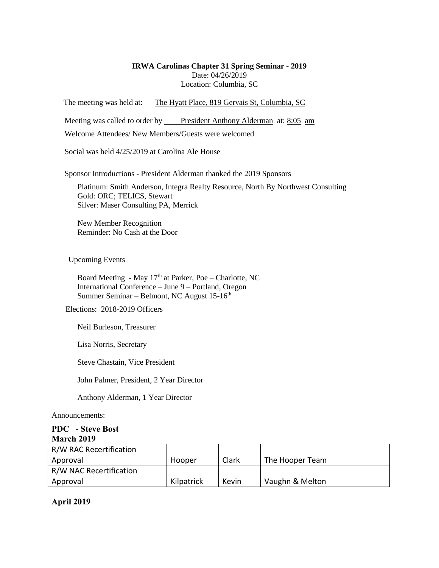#### **IRWA Carolinas Chapter 31 Spring Seminar - 2019** Date: 04/26/2019 Location: Columbia, SC

The meeting was held at: The Hyatt Place, 819 Gervais St, Columbia, SC

Meeting was called to order by President Anthony Alderman at: 8:05 am

Welcome Attendees/ New Members/Guests were welcomed

Social was held 4/25/2019 at Carolina Ale House

Sponsor Introductions - President Alderman thanked the 2019 Sponsors

Platinum: Smith Anderson, Integra Realty Resource, North By Northwest Consulting Gold: ORC; TELICS, Stewart Silver: Maser Consulting PA, Merrick

New Member Recognition Reminder: No Cash at the Door

Upcoming Events

Board Meeting - May  $17<sup>th</sup>$  at Parker, Poe – Charlotte, NC International Conference – June 9 – Portland, Oregon Summer Seminar – Belmont, NC August 15-16<sup>th</sup>

Elections: 2018-2019 Officers

Neil Burleson, Treasurer

Lisa Norris, Secretary

Steve Chastain, Vice President

John Palmer, President, 2 Year Director

Anthony Alderman, 1 Year Director

Announcements:

### **PDC - Steve Bost March 2019**

| R/W RAC Recertification |            |       |                 |
|-------------------------|------------|-------|-----------------|
| Approval                | Hooper     | Clark | The Hooper Team |
| R/W NAC Recertification |            |       |                 |
| Approval                | Kilpatrick | Kevin | Vaughn & Melton |

**April 2019**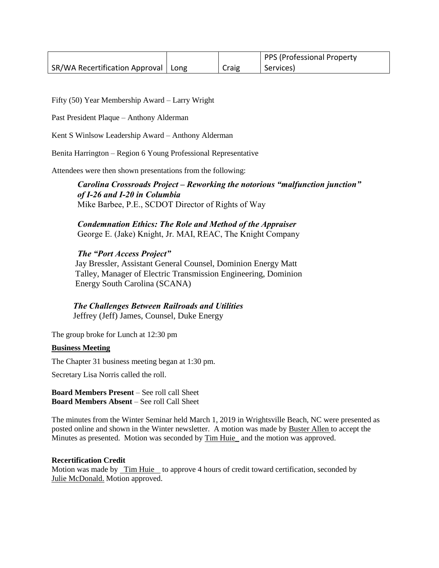|                                |      |       | PPS (Professional Property |
|--------------------------------|------|-------|----------------------------|
| SR/WA Recertification Approval | Long | Craig | Services)                  |

Fifty (50) Year Membership Award – Larry Wright

Past President Plaque – Anthony Alderman

Kent S Winlsow Leadership Award – Anthony Alderman

Benita Harrington – Region 6 Young Professional Representative

Attendees were then shown presentations from the following:

*Carolina Crossroads Project – Reworking the notorious "malfunction junction" of I-26 and I-20 in Columbia*  Mike Barbee, P.E., SCDOT Director of Rights of Way

*Condemnation Ethics: The Role and Method of the Appraiser* George E. (Jake) Knight, Jr. MAI, REAC, The Knight Company

### *The "Port Access Project"*

Jay Bressler, Assistant General Counsel, Dominion Energy Matt Talley, Manager of Electric Transmission Engineering, Dominion Energy South Carolina (SCANA)

 *The Challenges Between Railroads and Utilities* Jeffrey (Jeff) James, Counsel, Duke Energy

The group broke for Lunch at 12:30 pm

#### **Business Meeting**

The Chapter 31 business meeting began at 1:30 pm.

Secretary Lisa Norris called the roll.

**Board Members Present** – See roll call Sheet **Board Members Absent** – See roll Call Sheet

The minutes from the Winter Seminar held March 1, 2019 in Wrightsville Beach, NC were presented as posted online and shown in the Winter newsletter. A motion was made by Buster Allen to accept the Minutes as presented. Motion was seconded by Tim Huie\_ and the motion was approved.

#### **Recertification Credit**

Motion was made by Tim Huie to approve 4 hours of credit toward certification, seconded by Julie McDonald. Motion approved.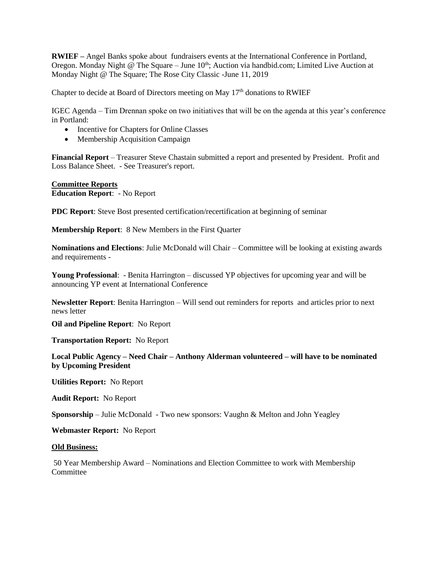**RWIEF –** Angel Banks spoke about fundraisers events at the International Conference in Portland, Oregon. Monday Night  $@$  The Square – June  $10<sup>th</sup>$ ; Auction via handbid.com; Limited Live Auction at Monday Night @ The Square; The Rose City Classic -June 11, 2019

Chapter to decide at Board of Directors meeting on May  $17<sup>th</sup>$  donations to RWIEF

IGEC Agenda – Tim Drennan spoke on two initiatives that will be on the agenda at this year's conference in Portland:

- Incentive for Chapters for Online Classes
- Membership Acquisition Campaign

**Financial Report** – Treasurer Steve Chastain submitted a report and presented by President. Profit and Loss Balance Sheet. - See Treasurer's report.

**Committee Reports Education Report**: - No Report

**PDC Report**: Steve Bost presented certification/recertification at beginning of seminar

**Membership Report**: 8 New Members in the First Quarter

**Nominations and Elections**: Julie McDonald will Chair – Committee will be looking at existing awards and requirements -

**Young Professional**: - Benita Harrington – discussed YP objectives for upcoming year and will be announcing YP event at International Conference

**Newsletter Report**: Benita Harrington – Will send out reminders for reports and articles prior to next news letter

**Oil and Pipeline Report**: No Report

**Transportation Report:** No Report

**Local Public Agency – Need Chair – Anthony Alderman volunteered – will have to be nominated by Upcoming President**

**Utilities Report:** No Report

**Audit Report:** No Report

**Sponsorship** – Julie McDonald - Two new sponsors: Vaughn & Melton and John Yeagley

**Webmaster Report:** No Report

#### **Old Business:**

50 Year Membership Award – Nominations and Election Committee to work with Membership **Committee**